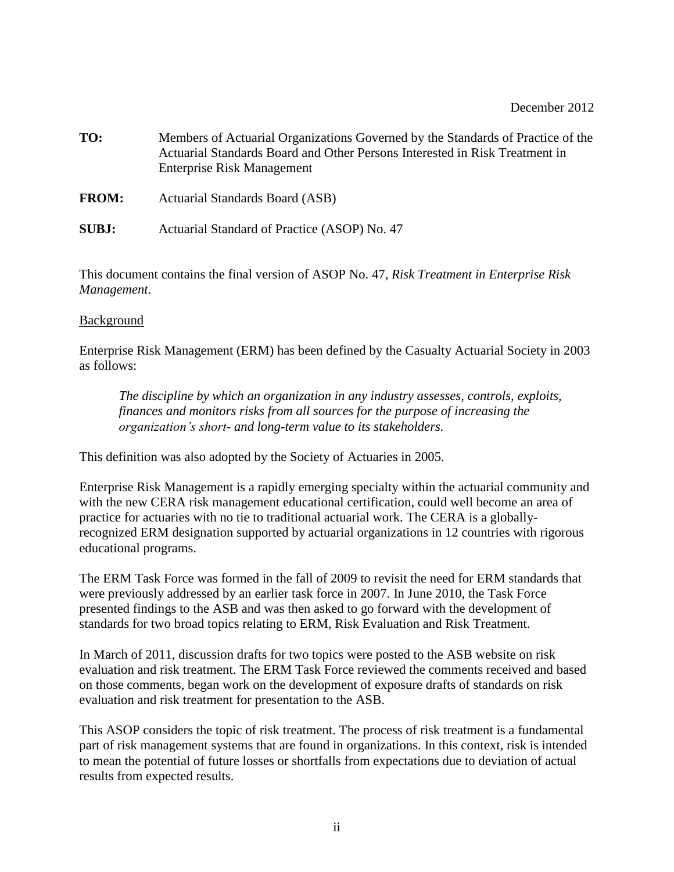- **TO:** Members of Actuarial Organizations Governed by the Standards of Practice of the Actuarial Standards Board and Other Persons Interested in Risk Treatment in Enterprise Risk Management
- **FROM:** Actuarial Standards Board (ASB)
- **SUBJ:** Actuarial Standard of Practice (ASOP) No. 47

This document contains the final version of ASOP No. 47, *Risk Treatment in Enterprise Risk Management*.

## **Background**

Enterprise Risk Management (ERM) has been defined by the Casualty Actuarial Society in 2003 as follows:

*The discipline by which an organization in any industry assesses, controls, exploits, finances and monitors risks from all sources for the purpose of increasing the organization's short- and long-term value to its stakeholders.*

This definition was also adopted by the Society of Actuaries in 2005.

Enterprise Risk Management is a rapidly emerging specialty within the actuarial community and with the new CERA risk management educational certification, could well become an area of practice for actuaries with no tie to traditional actuarial work. The CERA is a globallyrecognized ERM designation supported by actuarial organizations in 12 countries with rigorous educational programs.

The ERM Task Force was formed in the fall of 2009 to revisit the need for ERM standards that were previously addressed by an earlier task force in 2007. In June 2010, the Task Force presented findings to the ASB and was then asked to go forward with the development of standards for two broad topics relating to ERM, Risk Evaluation and Risk Treatment.

In March of 2011, discussion drafts for two topics were posted to the ASB website on risk evaluation and risk treatment. The ERM Task Force reviewed the comments received and based on those comments, began work on the development of exposure drafts of standards on risk evaluation and risk treatment for presentation to the ASB.

This ASOP considers the topic of risk treatment. The process of risk treatment is a fundamental part of risk management systems that are found in organizations. In this context, risk is intended to mean the potential of future losses or shortfalls from expectations due to deviation of actual results from expected results.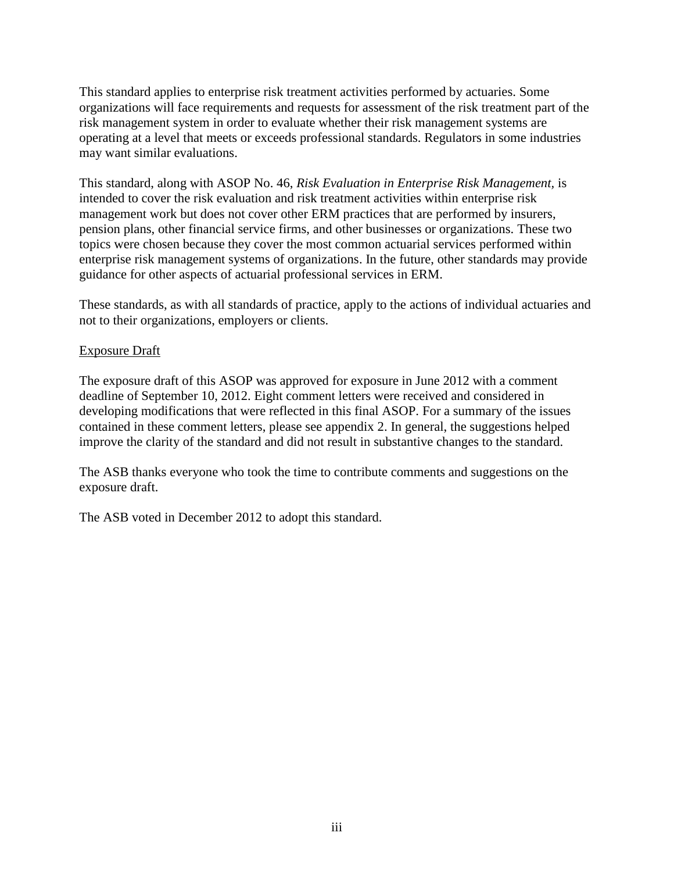This standard applies to enterprise risk treatment activities performed by actuaries. Some organizations will face requirements and requests for assessment of the risk treatment part of the risk management system in order to evaluate whether their risk management systems are operating at a level that meets or exceeds professional standards. Regulators in some industries may want similar evaluations.

This standard, along with ASOP No. 46, *Risk Evaluation in Enterprise Risk Management,* is intended to cover the risk evaluation and risk treatment activities within enterprise risk management work but does not cover other ERM practices that are performed by insurers, pension plans, other financial service firms, and other businesses or organizations. These two topics were chosen because they cover the most common actuarial services performed within enterprise risk management systems of organizations. In the future, other standards may provide guidance for other aspects of actuarial professional services in ERM.

These standards, as with all standards of practice, apply to the actions of individual actuaries and not to their organizations, employers or clients.

## Exposure Draft

The exposure draft of this ASOP was approved for exposure in June 2012 with a comment deadline of September 10, 2012. Eight comment letters were received and considered in developing modifications that were reflected in this final ASOP. For a summary of the issues contained in these comment letters, please see appendix 2. In general, the suggestions helped improve the clarity of the standard and did not result in substantive changes to the standard.

The ASB thanks everyone who took the time to contribute comments and suggestions on the exposure draft.

The ASB voted in December 2012 to adopt this standard.